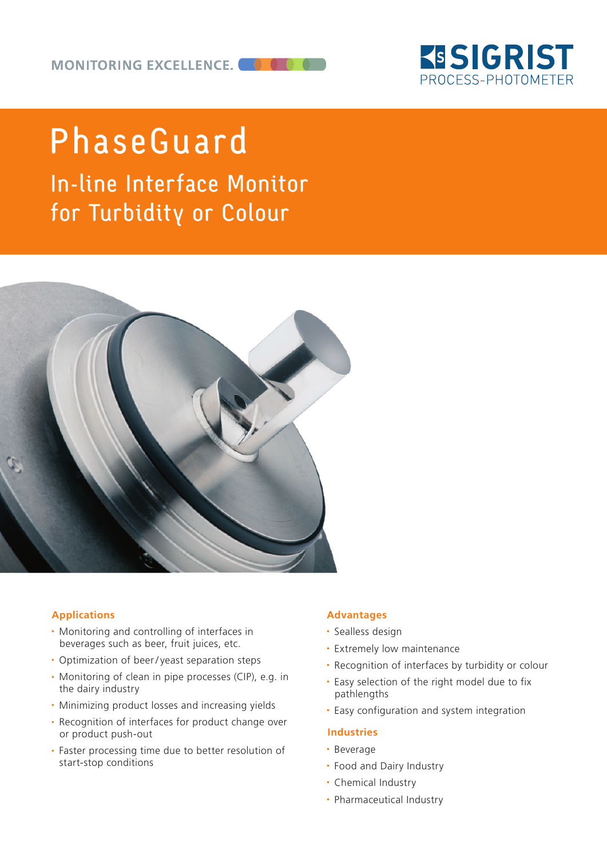

# PhaseGuard

In-line Interface Monitor for Turbidity or Colour



## **Applications**

- Monitoring and controlling of interfaces in beverages such as beer, fruit juices, etc.
- Optimization of beer/yeast separation steps
- Monitoring of clean in pipe processes (CIP), e.g. in the dairy industry
- Minimizing product losses and increasing yields
- Recognition of interfaces for product change over or product push-out
- Faster processing time due to better resolution of start-stop conditions

### **Advantages**

- Sealless design
- Extremely low maintenance
- Recognition of interfaces by turbidity or colour
- Easy selection of the right model due to fix pathlengths
- Easy configuration and system integration

## **Industries**

- Beverage
- Food and Dairy Industry
- Chemical Industry
- Pharmaceutical Industry